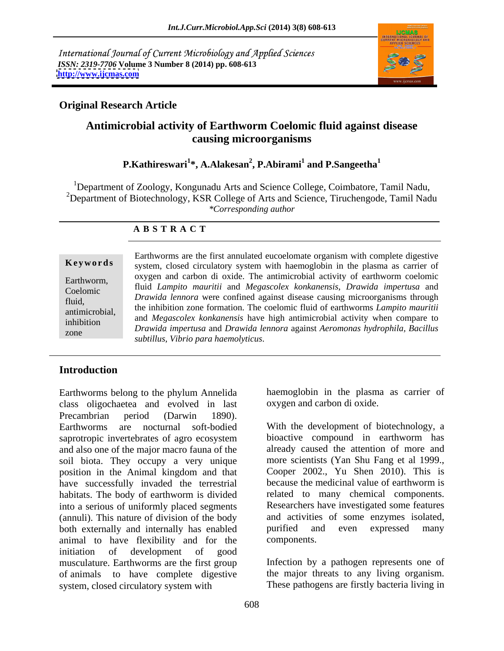International Journal of Current Microbiology and Applied Sciences *ISSN: 2319-7706* **Volume 3 Number 8 (2014) pp. 608-613 <http://www.ijcmas.com>**



## **Original Research Article**

# **Antimicrobial activity of Earthworm Coelomic fluid against disease causing microorganisms**

### **P.Kathireswari<sup>1</sup> \*, A.Alakesan<sup>2</sup> , P.Abirami<sup>1</sup> and P.Sangeetha<sup>1</sup>**

<sup>1</sup>Department of Zoology, Kongunadu Arts and Science College, Coimbatore, Tamil Nadu, <sup>2</sup>Department of Biotechnology, KSR College of Arts and Science, Tiruchengode, Tamil Nadu *\*Corresponding author* 

### **A B S T R A C T**

**Keywords** system, closed circulatory system with haemoglobin in the plasma as carrier of Earthworm,  $\alpha$  oxygen and carbon of oxide. The antimicropial activity of earthworm coeforme Coelomic fluid *Lampito mauritii* and *Megascolex konkanensis*, *Drawida impertusa* and fluid,<br>
the inhibition zone formation. The coelomic fluid of earthworms *Lampito mauritii*<br>
the inhibition zone formation. The coelomic fluid of earthworms *Lampito mauritii* antimicrobial, and *Megascolex konkanensis* have high antimicrobial activity when compare to inhibition and *megascolex konkunensis* have liigh anumicrobial activity when compare to zone *Drawida impertusa* and *Drawida lennora* against *Aeromonas hydrophila, Bacillus* Earthworms are the first annulated eucoelomate organism with complete digestive oxygen and carbon di oxide. The antimicrobial activity of earthworm coelomic *Drawida lennora* were confined against disease causing microorganisms through *subtillus, Vibrio para haemolyticus*.

### **Introduction**

Earthworms belong to the phylum Annelida class oligochaetea and evolved in last Precambrian period (Darwin 1890).<br>Earthworms are nocturnal soft-bodied With the development of biotechnology, a saprotropic invertebrates of agro ecosystem and also one of the major macro fauna of the soil biota. They occupy a very unique position in the Animal kingdom and that have successfully invaded the terrestrial habitats. The body of earthworm is divided into a serious of uniformly placed segments (annuli). This nature of division of the body both externally and internally has enabled purified and even expressed many animal to have flexibility and for the initiation of development of good musculature. Earthworms are the first group of animals to have complete digestive system, closed circulatory system with These pathogens are firstly bacteria living in

haemoglobin in the plasma as carrier of oxygen and carbon di oxide.

With the development of biotechnology, a bioactive compound in earthworm has already caused the attention of more and more scientists (Yan Shu Fang et al 1999., Cooper 2002., Yu Shen 2010). This is because the medicinal value of earthworm is related to many chemical components. Researchers have investigated some features and activities of some enzymes isolated, purified and even expressed many components.

Infection by a pathogen represents one of the major threats to any living organism.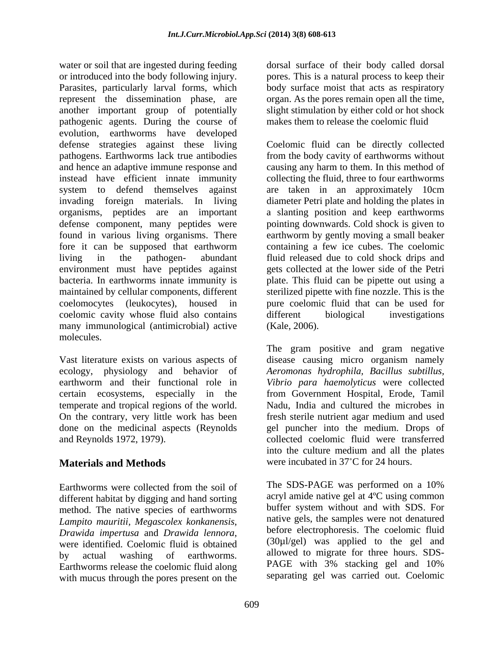water or soil that are ingested during feeding dorsal surface of their body called dorsal or introduced into the body following injury. pores. This is a natural process to keep their Parasites, particularly larval forms, which body surface moist that acts as respiratory represent the dissemination phase, are organ. As the pores remain open all the time, another important group of potentially slight stimulation by either cold or hot shock pathogenic agents. During the course of evolution, earthworms have developed defense strategies against these living Coelomic fluid can be directly collected pathogens. Earthworms lack true antibodies from the body cavity of earthworms without and hence an adaptive immune response and instead have efficient innate immunity collecting the fluid, three to four earthworms system to defend themselves against are taken in an approximately 10cm invading foreign materials. In living diameter Petri plate and holding the plates in organisms, peptides are an important defense component, many peptides were found in various living organisms. There earthworm by gently moving a small beaker fore it can be supposed that earthworm containing a few ice cubes. The coelomic living in the pathogen- abundant fluid released due to cold shock drips and environment must have peptides against bacteria. In earthworms innate immunity is plate. This fluid can be pipette out using a maintained by cellular components, different sterilized pipette with fine nozzle. This is the coelomocytes (leukocytes), housed in pure coelomic fluid that can be used for coelomic cavity whose fluid also contains many immunological (antimicrobial) active (Kale, 2006). molecules.

Vast literature exists on various aspects of temperate and tropical regions of the world. On the contrary, very little work has been fresh sterile nutrient agar medium and used done on the medicinal aspects (Reynolds

different habitat by digging and hand sorting method. The native species of earthworms *Lampito mauritii, Megascolex konkanensis*, Earthworms release the coelomic fluid along with mucus through the pores present on the

makes them to release the coelomic fluid

causing any harm to them. In this method of a slanting position and keep earthworms pointing downwards. Cold shock is given to gets collected at the lower side of the Petri different biological investigations (Kale, 2006).

ecology, physiology and behavior of *Aeromonas hydrophila, Bacillus subtillus,* earthworm and their functional role in *Vibrio para haemolyticus* were collected certain ecosystems, especially in the from Government Hospital, Erode, Tamil and Reynolds 1972, 1979). collected coelomic fluid were transferred **Materials and Methods** were incubated in 37°C for 24 hours. The gram positive and gram negative disease causing micro organism namely Nadu, India and cultured the microbes in fresh sterile nutrient agar medium and used gel puncher into the medium. Drops of into the culture medium and all the plates were incubated in 37<sup>°</sup>C for 24 hours.

Earthworms were collected from the soil of The SDS-PAGE was performed on a 10% *Drawida impertusa* and *Drawida lennora*, before electrophoresis. The coelomic fluid<br>were identified. Coelomic fluid is obtained (30µl/gel) was applied to the gel and by actual washing of earthworms. allowed to migrate for three hours. SDS-The SDS-PAGE was performed on a 10% acryl amide native gel at 4ºC using common buffer system without and with SDS. For native gels, the samples were not denatured before electrophoresis. The coelomic fluid (30µl/gel) was applied to the gel and allowed to migrate for three hours. SDS- PAGE with 3% stacking gel and 10% separating gel was carried out. Coelomic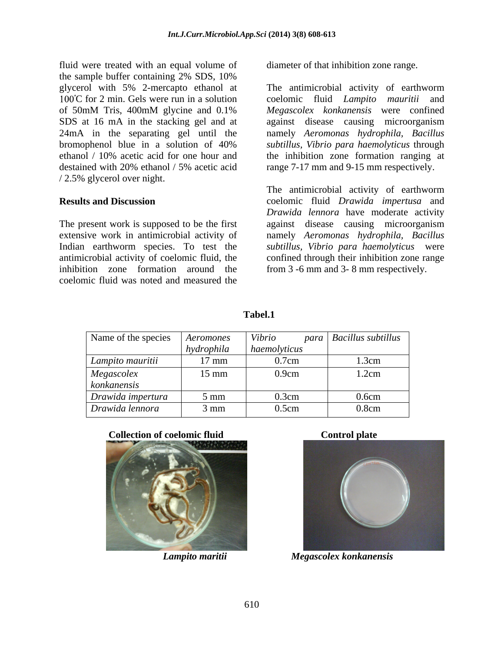fluid were treated with an equal volume of the sample buffer containing 2% SDS, 10% glycerol with 5% 2-mercapto ethanol at The antimicrobial activity of earthworm of 50mM Tris, 400mM glycine and 0.1% Megascolex konkanensis were confined SDS at 16 mA in the stacking gel and at against disease causing microorganism 24mA in the separating gel until the namely *Aeromonas hydrophila, Bacillus* bromophenol blue in a solution of 40% *subtillus, Vibrio para haemolyticus* through ethanol / 10% acetic acid for one hour and the inhibition zone formation ranging at destained with 20% ethanol / 5% acetic acid range 7-17 mm and 9-15 mm respectively. / 2.5% glycerol over night.

inhibition zone formation around the from 3 -6 mm and 3- 8 mm respectively. coelomic fluid was noted and measured the

diameter of that inhibition zone range.

C for 2 min. Gels were run in a solution coelomic fluid *Lampito mauritii* and *Megascolex konkanensis* were confined range 7-17 mm and 9-15 mm respectively.

**Results and Discussion** coelomic fluid *Drawida impertusa* and The present work is supposed to be the first against disease causing microorganism extensive work in antimicrobial activity of namely *Aeromonas hydrophila, Bacillus* Indian earthworm species. To test the *subtillus, Vibrio para haemolyticus* were antimicrobial activity of coelomic fluid, the confined through their inhibition zone range The antimicrobial activity of earthworm *Drawida lennora* have moderate activity

### **Tabel.1**

| Name of the species                                                                   | Aeromones       | Vibrio       | para   Bacillus subtillus <sub> </sub> |
|---------------------------------------------------------------------------------------|-----------------|--------------|----------------------------------------|
|                                                                                       | hydrophila      | haemolyticus |                                        |
| Lampito mauritii                                                                      | $17 \text{ mm}$ | 0.7cm        | 1.3cm                                  |
| $\begin{array}{ l} \textit{Megas} \textit{color} \\ \textit{konkanensis} \end{array}$ | $15 \text{ mm}$ | 0.9cm        | 1.2cm                                  |
|                                                                                       |                 |              |                                        |
| Drawida impertura                                                                     | $5 \text{ mm}$  | 0.3cm        | 0.6cm                                  |
| Drawida lennora                                                                       | $3 \text{ mm}$  | 0.5cm        | 0.8cm                                  |







*Lampito maritii Megascolex konkanensis*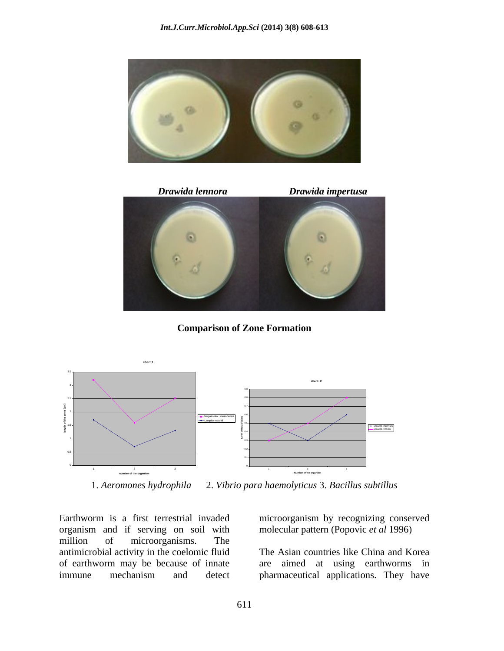



**Comparison of Zone Formation**



1. *Aeromones hydrophila* 2. *Vibrio para haemolyticus* 3. *Bacillus subtillus*

Earthworm is a first terrestrial invaded microorganism by recognizing conserved organism and if serving on soil with million of microorganisms. The antimicrobial activity in the coelomic fluid

molecular pattern (Popovic *et al* 1996)

of earthworm may be because of innate are aimed at using earthworms in immune mechanism and detect pharmaceutical applications. They haveThe Asian countries like China and Korea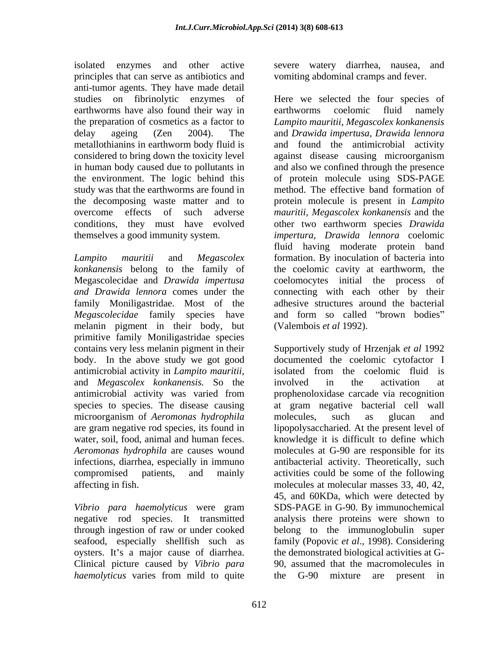isolated enzymes and other active severe watery diarrhea, nausea, and principles that can serve as antibiotics and anti-tumor agents. They have made detail earthworms have also found their way in earthworms coelomic fluid namely considered to bring down the toxicity level against disease causing microorganism the environment. The logic behind this study was that the earthworms are found in the decomposing waste matter and to

*Megascolecidae* family species have and form so called "brown bodies" melanin pigment in their body, but primitive family Moniligastridae species antimicrobial activity in *Lampito mauritii,*  and *Megascolex konkanensis.* So the microorganism of *Aeromonas hydrophila Aeromonas hydrophila* are causes wound

*Vibrio para haemolyticus* were gram *haemolyticus* varies from mild to quite the G-90 mixture are present in

vomiting abdominal cramps and fever.

studies on fibrinolytic enzymes of Here we selected the four species of the preparation of cosmetics as a factor to *Lampito mauritii, Megascolex konkanensis*  delay ageing (Zen 2004). The and *Drawida impertusa, Drawida lennora* metallothianins in earthworm body fluid is in human body caused due to pollutants in and also we confined through the presence overcome effects of such adverse *mauritii, Megascolex konkanensis* and the conditions, they must have evolved other two earthworm species *Drawida*  themselves a good immunity system. *impertura, Drawida lennora* coelomic *Lampito mauritii* and *Megascolex* formation. By inoculation of bacteria into *konkanensis* belong to the family of the coelomic cavity at earthworm, the Megascolecidae and *Drawida impertusa* coelomocytes initial the process of *and Drawida lennora* comes under the connecting with each other by their family Moniligastridae. Most of the adhesive structures around the bacterial earthworms coelomic fluid namely and found the antimicrobial activity against disease causing microorganism of protein molecule using SDS-PAGE method. The effective band formation of protein molecule is present in *Lampito*  fluid having moderate protein band and form so called "brown bodies" (Valembois *et al* 1992).

contains very less melanin pigment in their Supportively study of Hrzenjak *et al* 1992 body. In the above study we got good documented the coelomic cytofactor I antimicrobial activity was varied from species to species. The disease causing at gram negative bacterial cell wall are gram negative rod species, its found in lipopolysaccharied. At the present level of water, soil, food, animal and human feces. knowledge it is difficult to define which infections, diarrhea, especially in immuno antibacterial activity. Theoretically, such compromised patients, and mainly activities could be some of the following affecting in fish. molecules at molecular masses 33, 40, 42, negative rod species. It transmitted analysis there proteins were shown to through ingestion of raw or under cooked belong to the immunoglobulin super seafood, especially shellfish such as family (Popovic *et al*., 1998). Considering oysters. It's a major cause of diarrhea. the demonstrated biological activities at G-Clinical picture caused by *Vibrio para* 90, assumed that the macromolecules in isolated from the coelomic fluid is involved in the activation at prophenoloxidase carcade via recognition molecules, such as glucan and molecules at G-90 are responsible for its 45, and 60KDa, which were detected by SDS-PAGE in G-90. By immunochemical the G-90 mixture are present in